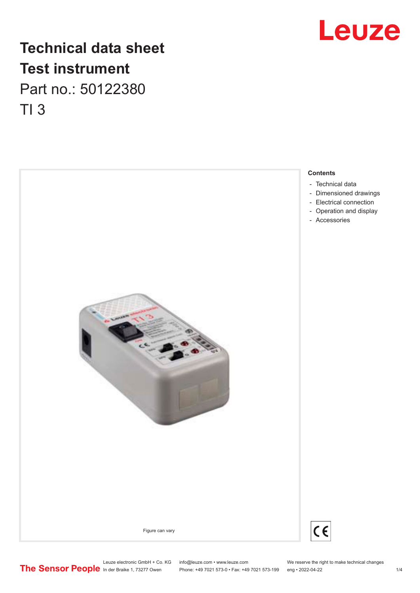# **Leuze**

# **Technical data sheet Test instrument** Part no.: 50122380 TI 3



Phone: +49 7021 573-0 • Fax: +49 7021 573-199 eng • 2022-04-22

Leuze electronic GmbH + Co. KG info@leuze.com • www.leuze.com We reserve the right to make technical changes<br>
The Sensor People in der Braike 1, 73277 Owen Phone: +49 7021 573-0 • Fax: +49 7021 573-199 eng • 2022-04-22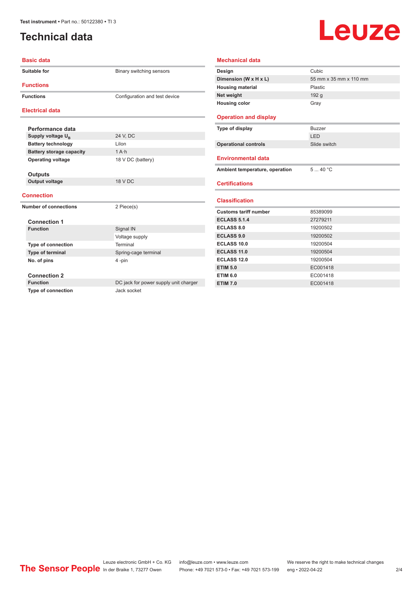## <span id="page-1-0"></span>**Technical data**

# Leuze

| <b>Basic data</b>               |                                       | <b>Mech</b>    |
|---------------------------------|---------------------------------------|----------------|
| <b>Suitable for</b>             | Binary switching sensors              | Desig<br>Dimer |
| <b>Functions</b>                |                                       | Housi          |
| <b>Functions</b>                | Configuration and test device         | Net w          |
| <b>Electrical data</b>          |                                       | Housi          |
|                                 |                                       | Oper           |
| Performance data                |                                       | Type           |
| Supply voltage U <sub>B</sub>   | 24 V, DC                              |                |
| <b>Battery technology</b>       | Lilon                                 | Opera          |
| <b>Battery storage capacity</b> | $1A \cdot h$                          |                |
| <b>Operating voltage</b>        | 18 V DC (battery)                     | Envii          |
|                                 |                                       |                |
| <b>Outputs</b>                  |                                       | <b>Ambi</b>    |
| <b>Output voltage</b>           | <b>18 V DC</b>                        | <b>Certi</b>   |
|                                 |                                       |                |
| <b>Connection</b>               |                                       | <b>Class</b>   |
| <b>Number of connections</b>    | 2 Piece(s)                            |                |
|                                 |                                       | Custo          |
| <b>Connection 1</b>             |                                       | <b>ECLA</b>    |
| <b>Function</b>                 | Signal IN                             | <b>ECLA</b>    |
|                                 | Voltage supply                        | <b>ECLA</b>    |
| <b>Type of connection</b>       | Terminal                              | <b>ECLA</b>    |
| Type of terminal                | Spring-cage terminal                  | <b>ECLA</b>    |
| No. of pins                     | 4-pin                                 | <b>ECLA</b>    |
|                                 |                                       | <b>ETIM</b>    |
| <b>Connection 2</b>             |                                       | <b>ETIM</b>    |
| <b>Function</b>                 | DC jack for power supply unit charger | <b>ETIM</b>    |
| <b>Type of connection</b>       | Jack socket                           |                |

| Design                                                                                                                                                                           | Cubic                  |
|----------------------------------------------------------------------------------------------------------------------------------------------------------------------------------|------------------------|
| Dimension (W x H x L)                                                                                                                                                            | 55 mm x 35 mm x 110 mm |
| <b>Housing material</b>                                                                                                                                                          | Plastic                |
| Net weight                                                                                                                                                                       | 192 <sub>g</sub>       |
| <b>Housing color</b>                                                                                                                                                             | Gray                   |
| <b>Operation and display</b>                                                                                                                                                     |                        |
| Type of display                                                                                                                                                                  | <b>Buzzer</b>          |
|                                                                                                                                                                                  | LED                    |
| <b>Operational controls</b>                                                                                                                                                      | Slide switch           |
| <b>Environmental data</b>                                                                                                                                                        |                        |
| Ambient temperature, operation                                                                                                                                                   | 540 °C                 |
| <b>Certifications</b>                                                                                                                                                            |                        |
| <b>Classification</b>                                                                                                                                                            |                        |
|                                                                                                                                                                                  |                        |
|                                                                                                                                                                                  | 85389099               |
|                                                                                                                                                                                  | 27279211               |
|                                                                                                                                                                                  | 19200502               |
|                                                                                                                                                                                  | 19200502               |
|                                                                                                                                                                                  | 19200504               |
|                                                                                                                                                                                  | 19200504               |
|                                                                                                                                                                                  | 19200504               |
|                                                                                                                                                                                  | EC001418               |
| <b>Customs tariff number</b><br><b>ECLASS 5.1.4</b><br>ECLASS 8.0<br><b>ECLASS 9.0</b><br><b>ECLASS 10.0</b><br>ECLASS 11.0<br>ECLASS 12.0<br><b>ETIM 5.0</b><br><b>ETIM 6.0</b> | EC001418               |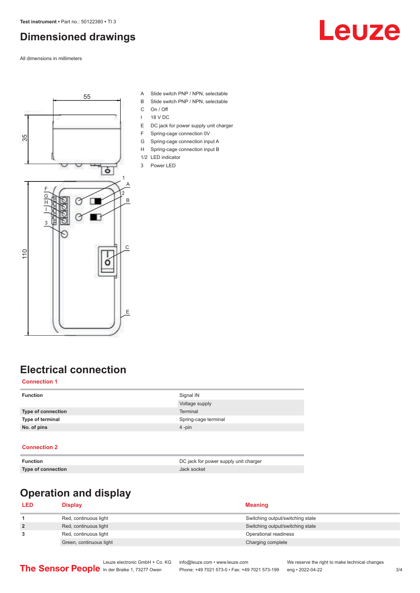# <span id="page-2-0"></span>**Dimensioned drawings**

All dimensions in millimeters





- A Slide switch PNP / NPN, selectable
- B Slide switch PNP / NPN, selectable
- C On / Off
- I 18 V DC
- E DC jack for power supply unit charger
- F Spring-cage connection 0V
- G Spring-cage connection input A
- H Spring-cage connection input B
- 1/2 LED indicator 3 Power LED
- 

## **Electrical connection**

#### **Connection 1**

| <b>Function</b>    | Signal IN            |
|--------------------|----------------------|
|                    | Voltage supply       |
| Type of connection | Terminal             |
| Type of terminal   | Spring-cage terminal |
| No. of pins        | $4 - pin$            |
|                    |                      |

#### **Connection 2**

| <b>Function</b>    | DC jack for power supply unit charger |
|--------------------|---------------------------------------|
| Type of connection | Jack socket                           |

# **Operation and display**

| <b>LED</b>     | <b>Display</b>          | <b>Meaning</b>                   |
|----------------|-------------------------|----------------------------------|
|                | Red, continuous light   | Switching output/switching state |
| $\overline{2}$ | Red, continuous light   | Switching output/switching state |
| 3              | Red, continuous light   | Operational readiness            |
|                | Green, continuous light | Charging complete                |
|                |                         |                                  |